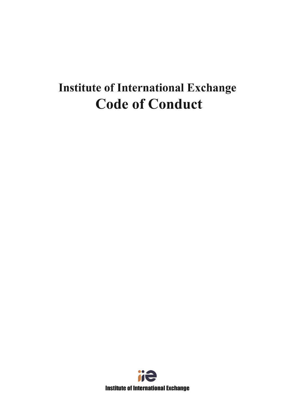# **Institute of International Exchange Code of Conduct**

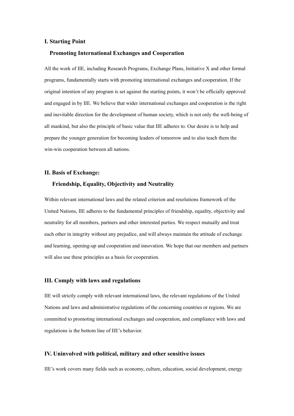#### **I. Starting Point**

### **Promoting International Exchanges and Cooperation**

All the work of IIE, including Research Programs, Exchange Plans, Initiative X and other formal programs, fundamentally starts with promoting international exchanges and cooperation. If the original intention of any program is set against the starting points, it won't be officially approved and engaged in by IIE. We believe that wider international exchanges and cooperation is the right and inevitable direction for the development of human society, which is not only the well-being of all mankind, but also the principle of basic value that IIE adheres to. Our desire is to help and prepare the younger generation for becoming leaders of tomorrow and to also teach them the win-win cooperation between all nations.

#### **II.** Basis of Exchange:

### **Friendship, Equality, Objectivity and Neutrality**

Within relevant international laws and the related criterion and resolutions framework of the United Nations, IIE adheres to the fundamental principles of friendship, equality, objectivity and neutrality for all members, partners and other interested parties. We respect mutually and treat each other in integrity without any prejudice, and will always maintain the attitude of exchange and learning, opening-up and cooperation and innovation. We hope that our members and partners will also use these principles as a basis for cooperation.

#### **III. Comply with laws and regulations**

IIE will strictly comply with relevant international laws, the relevant regulations ofthe United Nations and laws and administrative regulations of the concerning countries or regions. We are committed to promoting international exchanges and cooperation, and compliance with lawsand regulations is the bottom line of IIE's behavior.

### **IV. Uninvolved with political, military and other sensitive issues**

IIE's work covers many fields such as economy, culture, education, social development, energy